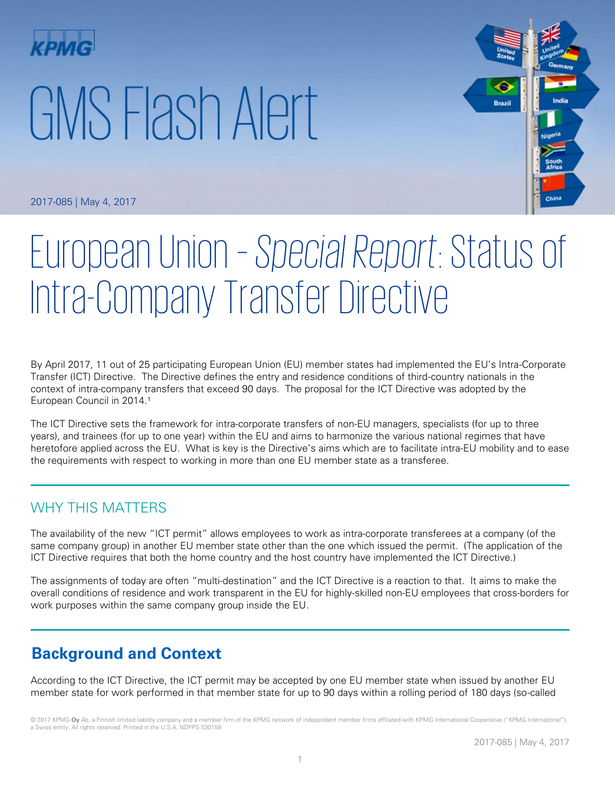# GMS Flash Alert



2017-085 | May 4, 2017

# European Union – *Special Report*: Status of Intra-Company Transfer Directive

By April 2017, 11 out of 25 participating European Union (EU) member states had implemented the EU's Intra-Corporate Transfer (ICT) Directive. The Directive defines the entry and residence conditions of third-country nationals in the context of intra-company transfers that exceed 90 days. The proposal for the ICT Directive was adopted by the European Council in 2014.<sup>1</sup>

The ICT Directive sets the framework for intra-corporate transfers of non-EU managers, specialists (for up to three years), and trainees (for up to one year) within the EU and aims to harmonize the various national regimes that have heretofore applied across the EU. What is key is the Directive's aims which are to facilitate intra-EU mobility and to ease the requirements with respect to working in more than one EU member state as a transferee.

# WHY THIS MATTERS

The availability of the new "ICT permit" allows employees to work as intra-corporate transferees at a company (of the same company group) in another EU member state other than the one which issued the permit. (The application of the ICT Directive requires that both the home country and the host country have implemented the ICT Directive.)

The assignments of today are often "multi-destination" and the ICT Directive is a reaction to that. It aims to make the overall conditions of residence and work transparent in the EU for highly-skilled non-EU employees that cross-borders for work purposes within the same company group inside the EU.

# **Background and Context**

According to the ICT Directive, the ICT permit may be accepted by one EU member state when issued by another EU member state for work performed in that member state for up to 90 days within a rolling period of 180 days (so-called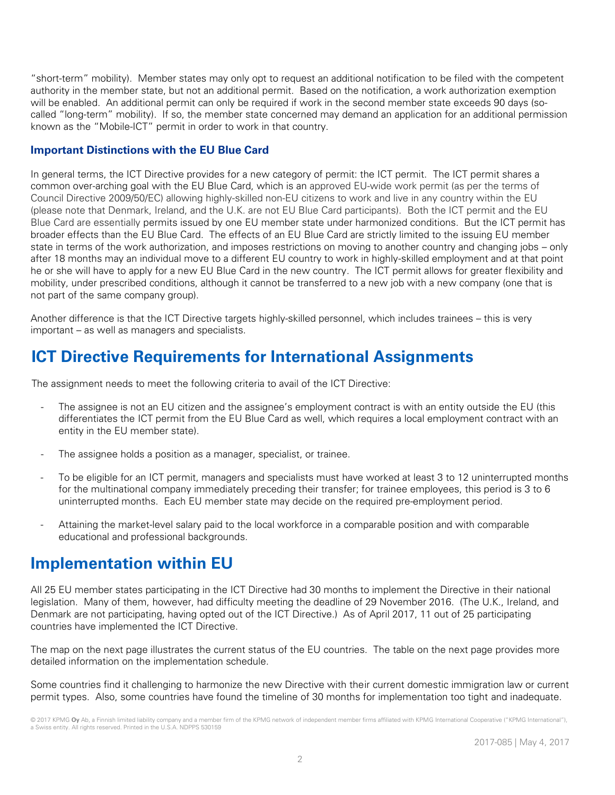"short-term" mobility). Member states may only opt to request an additional notification to be filed with the competent authority in the member state, but not an additional permit. Based on the notification, a work authorization exemption will be enabled. An additional permit can only be required if work in the second member state exceeds 90 days (socalled "long-term" mobility). If so, the member state concerned may demand an application for an additional permission known as the "Mobile-ICT" permit in order to work in that country.

## **Important Distinctions with the EU Blue Card**

In general terms, the ICT Directive provides for a new category of permit: the ICT permit. The ICT permit shares a common over-arching goal with the EU Blue Card, which is an approved EU-wide work permit (as per the terms of Council Directive 2009/50/EC) allowing highly-skilled non-EU citizens to work and live in any country within the EU (please note that Denmark, Ireland, and the U.K. are not EU Blue Card participants). Both the ICT permit and the EU Blue Card are essentially permits issued by one EU member state under harmonized conditions. But the ICT permit has broader effects than the EU Blue Card. The effects of an EU Blue Card are strictly limited to the issuing EU member state in terms of the work authorization, and imposes restrictions on moving to another country and changing jobs – only after 18 months may an individual move to a different EU country to work in highly-skilled employment and at that point he or she will have to apply for a new EU Blue Card in the new country. The ICT permit allows for greater flexibility and mobility, under prescribed conditions, although it cannot be transferred to a new job with a new company (one that is not part of the same company group).

Another difference is that the ICT Directive targets highly-skilled personnel, which includes trainees – this is very important – as well as managers and specialists.

# **ICT Directive Requirements for International Assignments**

The assignment needs to meet the following criteria to avail of the ICT Directive:

- The assignee is not an EU citizen and the assignee's employment contract is with an entity outside the EU (this differentiates the ICT permit from the EU Blue Card as well, which requires a local employment contract with an entity in the EU member state).
- The assignee holds a position as a manager, specialist, or trainee.
- To be eligible for an ICT permit, managers and specialists must have worked at least 3 to 12 uninterrupted months for the multinational company immediately preceding their transfer; for trainee employees, this period is 3 to 6 uninterrupted months. Each EU member state may decide on the required pre-employment period.
- Attaining the market-level salary paid to the local workforce in a comparable position and with comparable educational and professional backgrounds.

# **Implementation within EU**

All 25 EU member states participating in the ICT Directive had 30 months to implement the Directive in their national legislation. Many of them, however, had difficulty meeting the deadline of 29 November 2016. (The U.K., Ireland, and Denmark are not participating, having opted out of the ICT Directive.) As of April 2017, 11 out of 25 participating countries have implemented the ICT Directive.

The map on the next page illustrates the current status of the EU countries. The table on the next page provides more detailed information on the implementation schedule.

Some countries find it challenging to harmonize the new Directive with their current domestic immigration law or current permit types. Also, some countries have found the timeline of 30 months for implementation too tight and inadequate.

<sup>© 2017</sup> KPMG **Oy** Ab, a Finnish limited liability company and a member firm of the KPMG network of independent member firms affiliated with KPMG International Cooperative ("KPMG International"), a Swiss entity. All rights reserved. Printed in the U.S.A. NDPPS 530159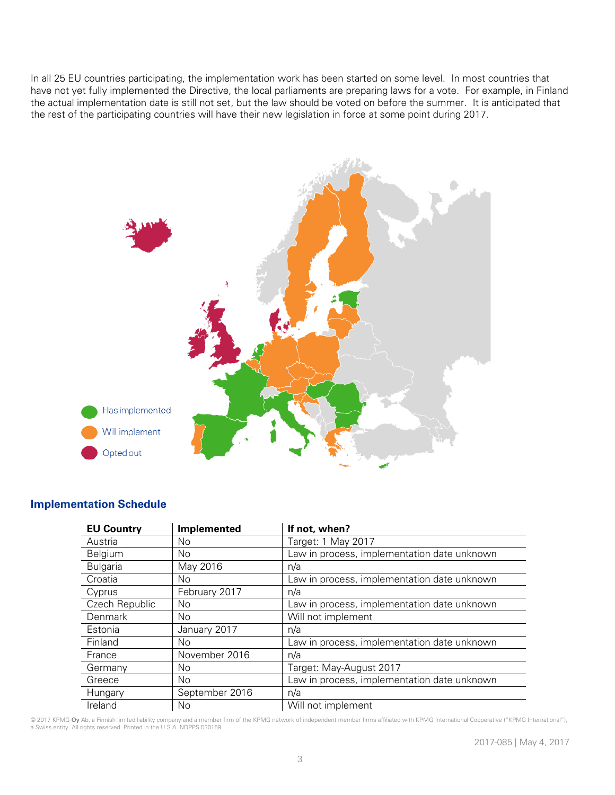In all 25 EU countries participating, the implementation work has been started on some level. In most countries that have not yet fully implemented the Directive, the local parliaments are preparing laws for a vote. For example, in Finland the actual implementation date is still not set, but the law should be voted on before the summer. It is anticipated that the rest of the participating countries will have their new legislation in force at some point during 2017.



| <b>EU Country</b> | Implemented    | If not, when?                               |
|-------------------|----------------|---------------------------------------------|
| Austria           | No             | Target: 1 May 2017                          |
| <b>Belgium</b>    | No.            | Law in process, implementation date unknown |
| <b>Bulgaria</b>   | May 2016       | n/a                                         |
| Croatia           | No.            | Law in process, implementation date unknown |
| Cyprus            | February 2017  | n/a                                         |
| Czech Republic    | No             | Law in process, implementation date unknown |
| Denmark           | No.            | Will not implement                          |
| Estonia           | January 2017   | n/a                                         |
| Finland           | No.            | Law in process, implementation date unknown |
| France            | November 2016  | n/a                                         |
| Germany           | No             | Target: May-August 2017                     |
| Greece            | No.            | Law in process, implementation date unknown |
| Hungary           | September 2016 | n/a                                         |
| Ireland           | No             | Will not implement                          |
|                   |                |                                             |

### **Implementation Schedule**

© 2017 KPMG **Oy** Ab, a Finnish limited liability company and a member firm of the KPMG network of independent member firms affiliated with KPMG International Cooperative ("KPMG International"), a Swiss entity. All rights reserved. Printed in the U.S.A. NDPPS 530159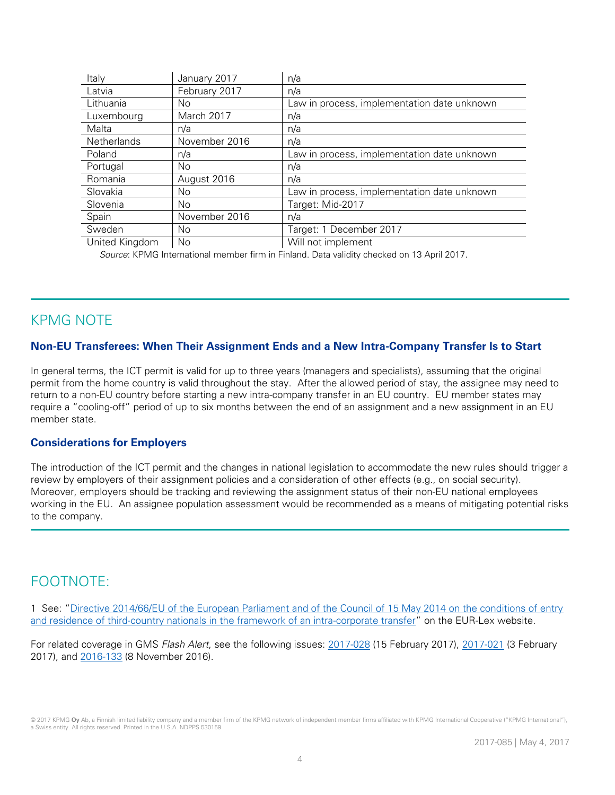| Italy              | January 2017  | n/a                                         |
|--------------------|---------------|---------------------------------------------|
| Latvia             | February 2017 | n/a                                         |
| Lithuania          | No            | Law in process, implementation date unknown |
| Luxembourg         | March 2017    | n/a                                         |
| Malta              | n/a           | n/a                                         |
| <b>Netherlands</b> | November 2016 | n/a                                         |
| Poland             | n/a           | Law in process, implementation date unknown |
| Portugal           | No.           | n/a                                         |
| Romania            | August 2016   | n/a                                         |
| Slovakia           | No            | Law in process, implementation date unknown |
| Slovenia           | No.           | Target: Mid-2017                            |
| Spain              | November 2016 | n/a                                         |
| Sweden             | No            | Target: 1 December 2017                     |
| United Kingdom     | No.           | Will not implement                          |

*Source*: KPMG International member firm in Finland. Data validity checked on 13 April 2017.

# KPMG NOTE

### **Non-EU Transferees: When Their Assignment Ends and a New Intra-Company Transfer Is to Start**

In general terms, the ICT permit is valid for up to three years (managers and specialists), assuming that the original permit from the home country is valid throughout the stay. After the allowed period of stay, the assignee may need to return to a non-EU country before starting a new intra-company transfer in an EU country. EU member states may require a "cooling-off" period of up to six months between the end of an assignment and a new assignment in an EU member state.

### **Considerations for Employers**

The introduction of the ICT permit and the changes in national legislation to accommodate the new rules should trigger a review by employers of their assignment policies and a consideration of other effects (e.g., on social security). Moreover, employers should be tracking and reviewing the assignment status of their non-EU national employees working in the EU. An assignee population assessment would be recommended as a means of mitigating potential risks to the company.

# FOOTNOTE:

1 See: "[Directive 2014/66/EU of the European Parliament and of the Council of 15 May 2014 on the conditions of entry](http://eur-lex.europa.eu/legal-content/EN/TXT/?uri=celex%3A32014L0066)  [and residence of third-country nationals in the framework of an intra-corporate transfer](http://eur-lex.europa.eu/legal-content/EN/TXT/?uri=celex%3A32014L0066)" on the EUR-Lex website.

For related coverage in GMS *Flash Alert*, see the following issues: [2017-028](https://home.kpmg.com/xx/en/home/insights/2017/02/flash-alert-2017-028.html) (15 February 2017), [2017-021](https://home.kpmg.com/xx/en/home/insights/2017/02/flash-alert-2017-021.html) (3 February 2017), and [2016-133](https://home.kpmg.com/xx/en/home/insights/2016/11/flash-alert-2016-133.html) (8 November 2016).